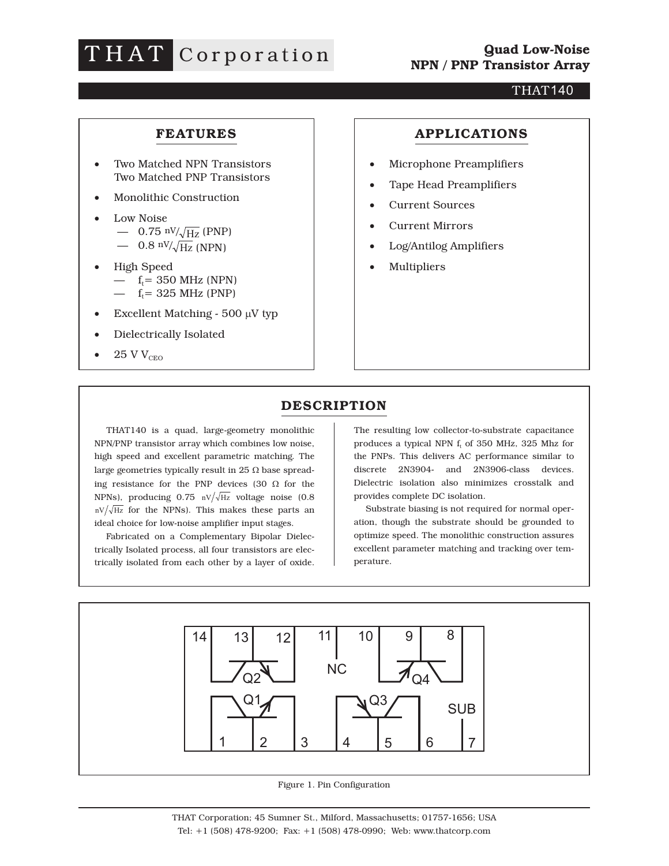# THAT Corporation

#### THAT140

### **FEATURES**

- Two Matched NPN Transistors Two Matched PNP Transistors
- Monolithic Construction
- Low Noise — 0.75 nV/ $\sqrt{Hz}$  (PNP) — 0.8  $\rm nV/\sqrt{Hz}$  (NPN)
- High Speed —  $f_t = 350 \text{ MHz (NPN)}$ —  $f_t = 325 \text{ MHz (PNP)}$
- Excellent Matching  $500 \mu V$  typ
- Dielectrically Isolated
- $25$  V  $\rm V_{\rm CEO}$

#### **APPLICATIONS**

- Microphone Preamplifiers
- Tape Head Preamplifiers
- Current Sources
- Current Mirrors
- Log/Antilog Amplifiers
- Multipliers

### **DESCRIPTION**

THAT140 is a quad, large-geometry monolithic NPN/PNP transistor array which combines low noise, high speed and excellent parametric matching. The large geometries typically result in 25  $\Omega$  base spreading resistance for the PNP devices (30  $\Omega$  for the NPNs), producing  $0.75 \text{ nV}/\sqrt{\text{Hz}}$  voltage noise (0.8)  $nV/\sqrt{Hz}$  for the NPNs). This makes these parts an ideal choice for low-noise amplifier input stages.

Fabricated on a Complementary Bipolar Dielectrically Isolated process, all four transistors are electrically isolated from each other by a layer of oxide.

The resulting low collector-to-substrate capacitance produces a typical NPN  $f_t$  of 350 MHz, 325 Mhz for the PNPs. This delivers AC performance similar to discrete 2N3904- and 2N3906-class devices. Dielectric isolation also minimizes crosstalk and provides complete DC isolation.

Substrate biasing is not required for normal operation, though the substrate should be grounded to optimize speed. The monolithic construction assures excellent parameter matching and tracking over temperature.



Figure 1. Pin Configuration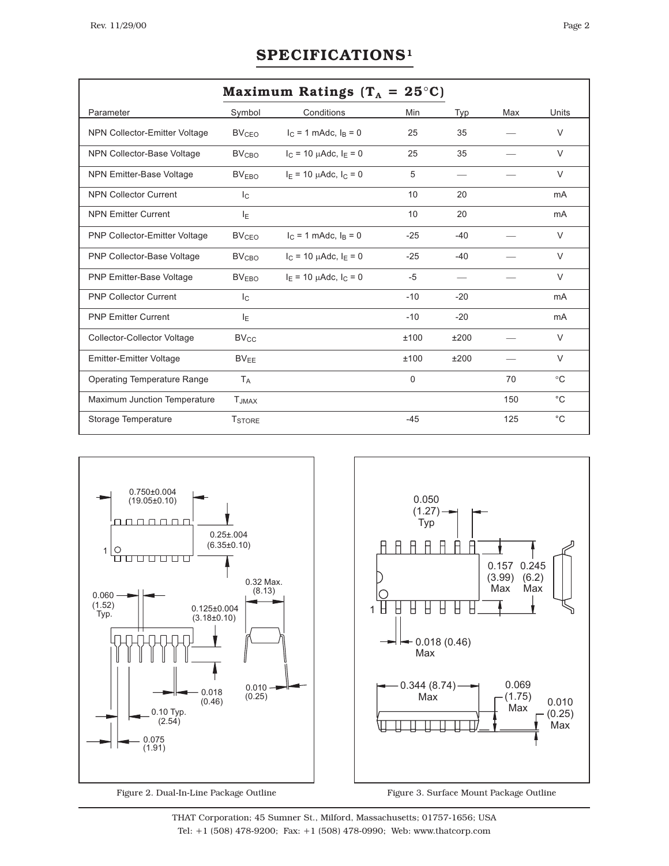# **SPECIFICATIONS1**

|                                      | Maximum Ratings $(T_A = 25^{\circ}C)$ |                                  |       |       |     |             |
|--------------------------------------|---------------------------------------|----------------------------------|-------|-------|-----|-------------|
| Parameter                            | Symbol                                | Conditions                       | Min   | Typ   | Max | Units       |
| NPN Collector-Emitter Voltage        | <b>BV<sub>CFO</sub></b>               | $I_C = 1$ mAdc, $I_B = 0$        | 25    | 35    |     | $\vee$      |
| NPN Collector-Base Voltage           | <b>BV<sub>CBO</sub></b>               | $I_C = 10 \mu A d c$ , $I_E = 0$ | 25    | 35    |     | $\vee$      |
| <b>NPN Emitter-Base Voltage</b>      | <b>BVEBO</b>                          | $I_F = 10 \mu A d c$ , $I_C = 0$ | 5     |       |     | $\vee$      |
| <b>NPN Collector Current</b>         | $I_{\rm C}$                           |                                  | 10    | 20    |     | mA          |
| <b>NPN Emitter Current</b>           | ΙE                                    |                                  | 10    | 20    |     | mA          |
| <b>PNP Collector-Emitter Voltage</b> | <b>BV<sub>CEO</sub></b>               | $I_C = 1$ mAdc, $I_B = 0$        | $-25$ | $-40$ |     | $\vee$      |
| PNP Collector-Base Voltage           | <b>BV<sub>CRO</sub></b>               | $I_C = 10 \mu A d c$ , $I_E = 0$ | $-25$ | $-40$ |     | $\vee$      |
| <b>PNP Emitter-Base Voltage</b>      | <b>BVEBO</b>                          | $I_F = 10 \mu A d c$ , $I_C = 0$ | $-5$  |       |     | $\vee$      |
| <b>PNP Collector Current</b>         | $I_{\rm C}$                           |                                  | $-10$ | $-20$ |     | mA          |
| <b>PNP Emitter Current</b>           | ΙE                                    |                                  | $-10$ | $-20$ |     | mA          |
| Collector-Collector Voltage          | <b>BV<sub>CC</sub></b>                |                                  | ±100  | ±200  |     | $\vee$      |
| <b>Emitter-Emitter Voltage</b>       | $BV_{FF}$                             |                                  | ±100  | ±200  |     | $\vee$      |
| <b>Operating Temperature Range</b>   | <b>T</b> <sub>A</sub>                 |                                  | 0     |       | 70  | $^{\circ}C$ |
| Maximum Junction Temperature         | <b>T</b> JMAX                         |                                  |       |       | 150 | $^{\circ}C$ |
| Storage Temperature                  | <b>TSTORE</b>                         |                                  | $-45$ |       | 125 | $^{\circ}C$ |



Figure 2. Dual-In-Line Package Outline



Figure 3. Surface Mount Package Outline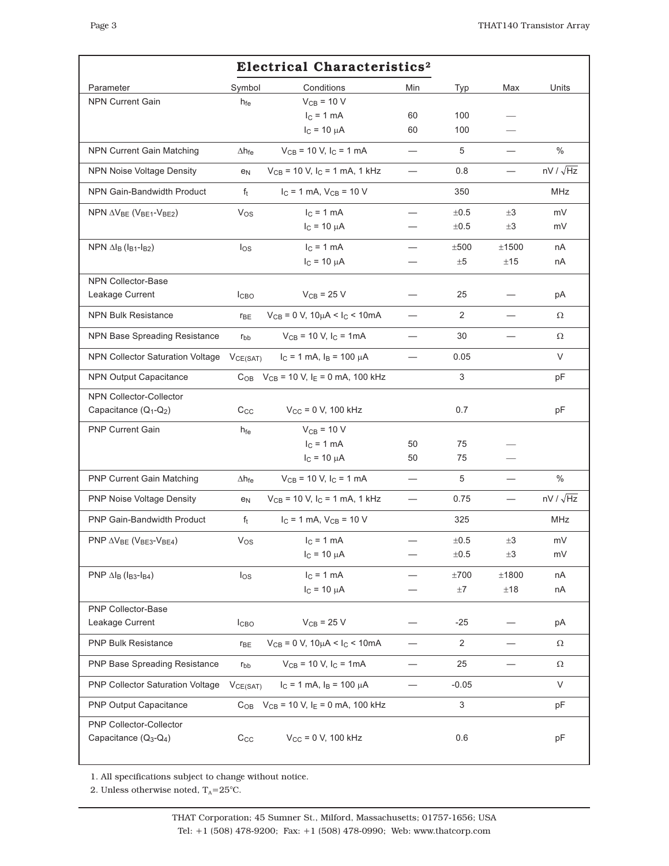|                                                           | <b>Electrical Characteristics<sup>2</sup></b> |                                                                 |     |                |                          |                  |
|-----------------------------------------------------------|-----------------------------------------------|-----------------------------------------------------------------|-----|----------------|--------------------------|------------------|
| Parameter                                                 | Symbol                                        | Conditions                                                      | Min | <b>Typ</b>     | Max                      | Units            |
| <b>NPN Current Gain</b>                                   | h <sub>fe</sub>                               | $V_{CB}$ = 10 V                                                 |     |                |                          |                  |
|                                                           |                                               | $I_C = 1$ mA                                                    | 60  | 100            |                          |                  |
|                                                           |                                               | $I_C = 10 \mu A$                                                | 60  | 100            |                          |                  |
| <b>NPN Current Gain Matching</b>                          | $\Delta h_{\text{fe}}$                        | $V_{CB}$ = 10 V, I <sub>C</sub> = 1 mA                          |     | 5              |                          | $\%$             |
| <b>NPN Noise Voltage Density</b>                          | e <sub>N</sub>                                | $V_{CB}$ = 10 V, $I_C$ = 1 mA, 1 kHz                            |     | 0.8            | $\overline{\phantom{0}}$ | $nV / \sqrt{Hz}$ |
| <b>NPN Gain-Bandwidth Product</b>                         | $f_t$                                         | $I_C = 1$ mA, $V_{CB} = 10$ V                                   |     | 350            |                          | <b>MHz</b>       |
| NPN $\Delta V_{BE}$ (V <sub>BE1</sub> -V <sub>BE2</sub> ) | $V_{OS}$                                      | $I_C = 1$ mA                                                    |     | $\pm 0.5$      | $\pm 3$                  | mV               |
|                                                           |                                               | $I_C = 10 \mu A$                                                |     | ±0.5           | $\pm 3$                  | mV               |
| NPN $\Delta I_B$ ( $I_{B1}$ - $I_{B2}$ )                  | los                                           | $IC = 1 mA$                                                     |     | ±500           | ±1500                    | nA               |
|                                                           |                                               | $I_C = 10 \mu A$                                                |     | $\pm 5$        | $\pm 15$                 | пA               |
| <b>NPN Collector-Base</b>                                 |                                               |                                                                 |     |                |                          |                  |
| Leakage Current                                           | <b>I</b> CBO                                  | $V_{CB}$ = 25 V                                                 |     | 25             |                          | рA               |
| <b>NPN Bulk Resistance</b>                                | <b>r</b> <sub>BE</sub>                        | $V_{CB} = 0 V$ , $10 \mu A < I_C < 10 mA$                       |     | 2              |                          | Ω                |
| NPN Base Spreading Resistance                             | $r_{bb}$                                      | $V_{CB}$ = 10 V, $I_C$ = 1mA                                    |     | 30             |                          | Ω                |
| <b>NPN Collector Saturation Voltage</b>                   | VCE(SAT)                                      | $I_C = 1$ mA, $I_B = 100 \mu A$                                 |     | 0.05           |                          | V                |
| <b>NPN Output Capacitance</b>                             |                                               | $C_{OB}$ V <sub>CB</sub> = 10 V, I <sub>E</sub> = 0 mA, 100 kHz |     | 3              |                          | рF               |
| <b>NPN Collector-Collector</b>                            |                                               |                                                                 |     |                |                          |                  |
| Capacitance $(Q_1-Q_2)$                                   | $C_{\rm CC}$                                  | $V_{CC} = 0 V$ , 100 kHz                                        |     | 0.7            |                          | pF               |
| <b>PNP Current Gain</b>                                   | $h_{fe}$                                      | $V_{CB}$ = 10 V                                                 |     |                |                          |                  |
|                                                           |                                               | $IC = 1 mA$                                                     | 50  | 75             |                          |                  |
|                                                           |                                               | $I_C = 10 \mu A$                                                | 50  | 75             |                          |                  |
| <b>PNP Current Gain Matching</b>                          | $\Delta h_{\text{fe}}$                        | $V_{CB}$ = 10 V, I <sub>C</sub> = 1 mA                          |     | 5              |                          | $\%$             |
| <b>PNP Noise Voltage Density</b>                          | e <sub>N</sub>                                | $V_{CB}$ = 10 V, $I_C$ = 1 mA, 1 kHz                            |     | 0.75           |                          | $nV / \sqrt{Hz}$ |
| <b>PNP Gain-Bandwidth Product</b>                         | $f_t$                                         | $I_C = 1$ mA, $V_{CB} = 10$ V                                   |     | 325            |                          | MHz              |
| PNP $\Delta V_{BE}$ (V <sub>BE3</sub> -V <sub>BE4</sub> ) | $V_{OS}$                                      | $IC = 1 mA$                                                     |     | $\pm 0.5$      | $\pm 3$                  | mV               |
|                                                           |                                               | $I_C = 10 \mu A$                                                |     | ±0.5           | $\pm 3$                  | mV               |
| PNP $\Delta I_B$ ( $I_{B3}$ - $I_{B4}$ )                  | los                                           | $IC = 1 mA$                                                     |     | ±700           | ±1800                    | nA               |
|                                                           |                                               | $I_C = 10 \mu A$                                                |     | ±7             | ±18                      | nA               |
| <b>PNP Collector-Base</b>                                 |                                               |                                                                 |     |                |                          |                  |
| Leakage Current                                           | I <sub>CBO</sub>                              | $V_{CB}$ = 25 V                                                 |     | $-25$          |                          | рA               |
| <b>PNP Bulk Resistance</b>                                | <b>r</b> <sub>BE</sub>                        | $V_{CB} = 0 V$ , 10 $\mu$ A < I <sub>C</sub> < 10mA             |     | $\overline{2}$ |                          | Ω                |
| PNP Base Spreading Resistance                             | $r_{bb}$                                      | $V_{CB}$ = 10 V, $I_C$ = 1mA                                    |     | 25             |                          | Ω                |
| PNP Collector Saturation Voltage                          | VCE(SAT)                                      | $I_C = 1$ mA, $I_B = 100 \mu A$                                 |     | $-0.05$        |                          | V                |
| PNP Output Capacitance                                    |                                               | $C_{OB}$ V <sub>CB</sub> = 10 V, I <sub>E</sub> = 0 mA, 100 kHz |     | 3              |                          | pF               |
| PNP Collector-Collector<br>Capacitance $(Q_3-Q_4)$        | $C_{\rm CC}$                                  | $V_{CC} = 0 V$ , 100 kHz                                        |     | 0.6            |                          | pF               |

1. All specifications subject to change without notice.

2. Unless otherwise noted,  $T_A = 25^{\circ}C$ .